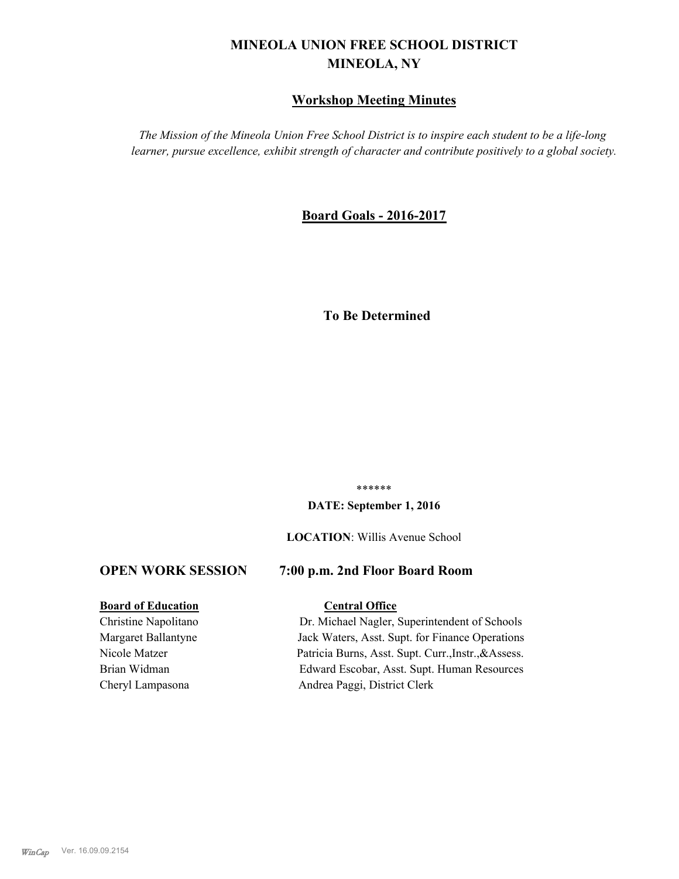# **MINEOLA UNION FREE SCHOOL DISTRICT MINEOLA, NY**

# **Workshop Meeting Minutes**

*The Mission of the Mineola Union Free School District is to inspire each student to be a life-long learner, pursue excellence, exhibit strength of character and contribute positively to a global society.*

# **Board Goals - 2016-2017**

# **To Be Determined**

\*\*\*\*\*\*

#### **DATE: September 1, 2016**

**LOCATION**: Willis Avenue School

# **OPEN WORK SESSION 7:00 p.m. 2nd Floor Board Room**

#### **Board of Education Central Office**

Christine Napolitano Dr. Michael Nagler, Superintendent of Schools Margaret Ballantyne Jack Waters, Asst. Supt. for Finance Operations Nicole Matzer Patricia Burns, Asst. Supt. Curr.,Instr.,&Assess. Brian Widman Edward Escobar, Asst. Supt. Human Resources Cheryl Lampasona Andrea Paggi, District Clerk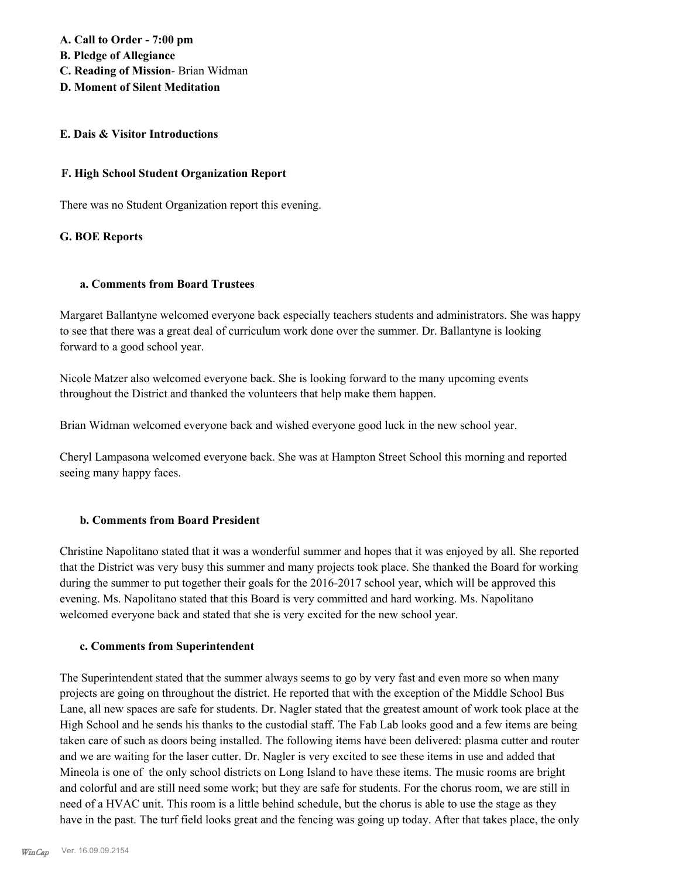**A. Call to Order - 7:00 pm B. Pledge of Allegiance C. Reading of Mission**- Brian Widman

**D. Moment of Silent Meditation**

#### **E. Dais & Visitor Introductions**

#### **F. High School Student Organization Report**

There was no Student Organization report this evening.

#### **G. BOE Reports**

#### **a. Comments from Board Trustees**

Margaret Ballantyne welcomed everyone back especially teachers students and administrators. She was happy to see that there was a great deal of curriculum work done over the summer. Dr. Ballantyne is looking forward to a good school year.

Nicole Matzer also welcomed everyone back. She is looking forward to the many upcoming events throughout the District and thanked the volunteers that help make them happen.

Brian Widman welcomed everyone back and wished everyone good luck in the new school year.

Cheryl Lampasona welcomed everyone back. She was at Hampton Street School this morning and reported seeing many happy faces.

### **b. Comments from Board President**

Christine Napolitano stated that it was a wonderful summer and hopes that it was enjoyed by all. She reported that the District was very busy this summer and many projects took place. She thanked the Board for working during the summer to put together their goals for the 2016-2017 school year, which will be approved this evening. Ms. Napolitano stated that this Board is very committed and hard working. Ms. Napolitano welcomed everyone back and stated that she is very excited for the new school year.

#### **c. Comments from Superintendent**

The Superintendent stated that the summer always seems to go by very fast and even more so when many projects are going on throughout the district. He reported that with the exception of the Middle School Bus Lane, all new spaces are safe for students. Dr. Nagler stated that the greatest amount of work took place at the High School and he sends his thanks to the custodial staff. The Fab Lab looks good and a few items are being taken care of such as doors being installed. The following items have been delivered: plasma cutter and router and we are waiting for the laser cutter. Dr. Nagler is very excited to see these items in use and added that Mineola is one of the only school districts on Long Island to have these items. The music rooms are bright and colorful and are still need some work; but they are safe for students. For the chorus room, we are still in need of a HVAC unit. This room is a little behind schedule, but the chorus is able to use the stage as they have in the past. The turf field looks great and the fencing was going up today. After that takes place, the only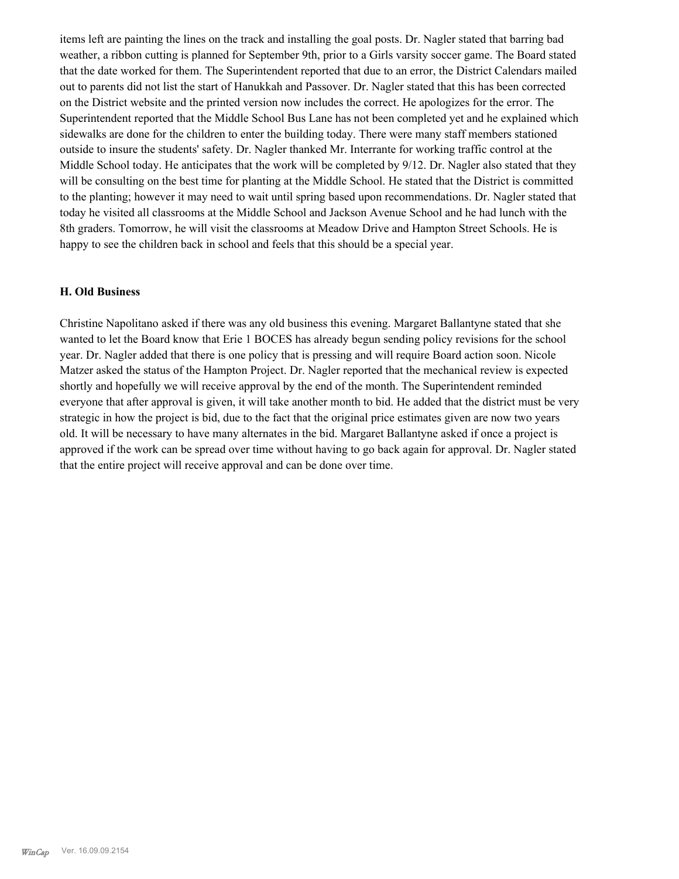items left are painting the lines on the track and installing the goal posts. Dr. Nagler stated that barring bad weather, a ribbon cutting is planned for September 9th, prior to a Girls varsity soccer game. The Board stated that the date worked for them. The Superintendent reported that due to an error, the District Calendars mailed out to parents did not list the start of Hanukkah and Passover. Dr. Nagler stated that this has been corrected on the District website and the printed version now includes the correct. He apologizes for the error. The Superintendent reported that the Middle School Bus Lane has not been completed yet and he explained which sidewalks are done for the children to enter the building today. There were many staff members stationed outside to insure the students' safety. Dr. Nagler thanked Mr. Interrante for working traffic control at the Middle School today. He anticipates that the work will be completed by 9/12. Dr. Nagler also stated that they will be consulting on the best time for planting at the Middle School. He stated that the District is committed to the planting; however it may need to wait until spring based upon recommendations. Dr. Nagler stated that today he visited all classrooms at the Middle School and Jackson Avenue School and he had lunch with the 8th graders. Tomorrow, he will visit the classrooms at Meadow Drive and Hampton Street Schools. He is happy to see the children back in school and feels that this should be a special year.

#### **H. Old Business**

Christine Napolitano asked if there was any old business this evening. Margaret Ballantyne stated that she wanted to let the Board know that Erie 1 BOCES has already begun sending policy revisions for the school year. Dr. Nagler added that there is one policy that is pressing and will require Board action soon. Nicole Matzer asked the status of the Hampton Project. Dr. Nagler reported that the mechanical review is expected shortly and hopefully we will receive approval by the end of the month. The Superintendent reminded everyone that after approval is given, it will take another month to bid. He added that the district must be very strategic in how the project is bid, due to the fact that the original price estimates given are now two years old. It will be necessary to have many alternates in the bid. Margaret Ballantyne asked if once a project is approved if the work can be spread over time without having to go back again for approval. Dr. Nagler stated that the entire project will receive approval and can be done over time.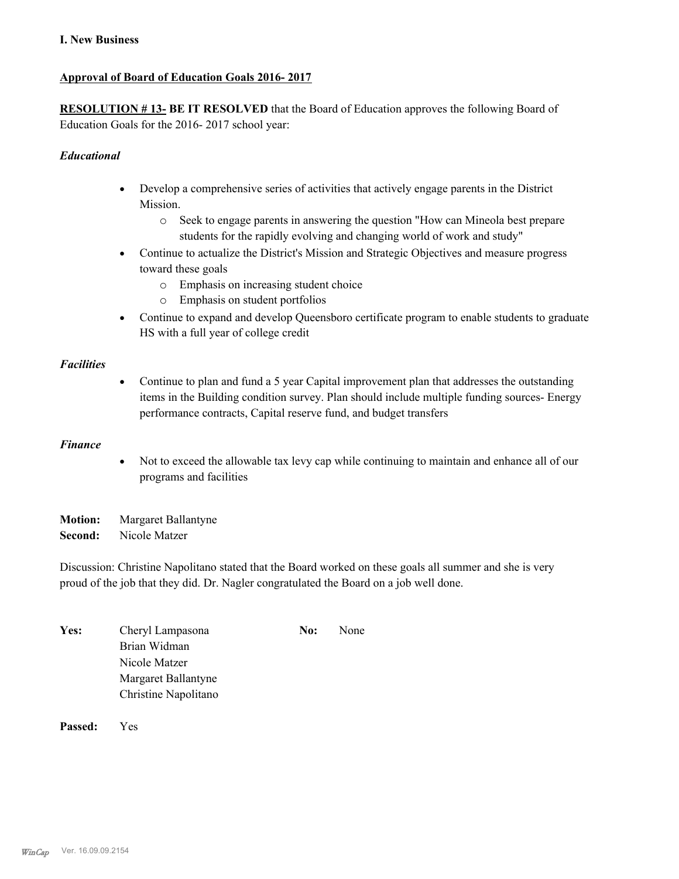### **I. New Business**

### **Approval of Board of Education Goals 2016- 2017**

**RESOLUTION # 13- BE IT RESOLVED** that the Board of Education approves the following Board of Education Goals for the 2016- 2017 school year:

### *Educational*

- · Develop a comprehensive series of activities that actively engage parents in the District Mission.
	- o Seek to engage parents in answering the question "How can Mineola best prepare students for the rapidly evolving and changing world of work and study"
- · Continue to actualize the District's Mission and Strategic Objectives and measure progress toward these goals
	- o Emphasis on increasing student choice
	- o Emphasis on student portfolios
- · Continue to expand and develop Queensboro certificate program to enable students to graduate HS with a full year of college credit

#### *Facilities*

• Continue to plan and fund a 5 year Capital improvement plan that addresses the outstanding items in the Building condition survey. Plan should include multiple funding sources- Energy performance contracts, Capital reserve fund, and budget transfers

#### *Finance*

· Not to exceed the allowable tax levy cap while continuing to maintain and enhance all of our programs and facilities

**Motion:** Margaret Ballantyne **Second:** Nicole Matzer

Discussion: Christine Napolitano stated that the Board worked on these goals all summer and she is very proud of the job that they did. Dr. Nagler congratulated the Board on a job well done.

| Yes: | Cheryl Lampasona     | No: | None |
|------|----------------------|-----|------|
|      | Brian Widman         |     |      |
|      | Nicole Matzer        |     |      |
|      | Margaret Ballantyne  |     |      |
|      | Christine Napolitano |     |      |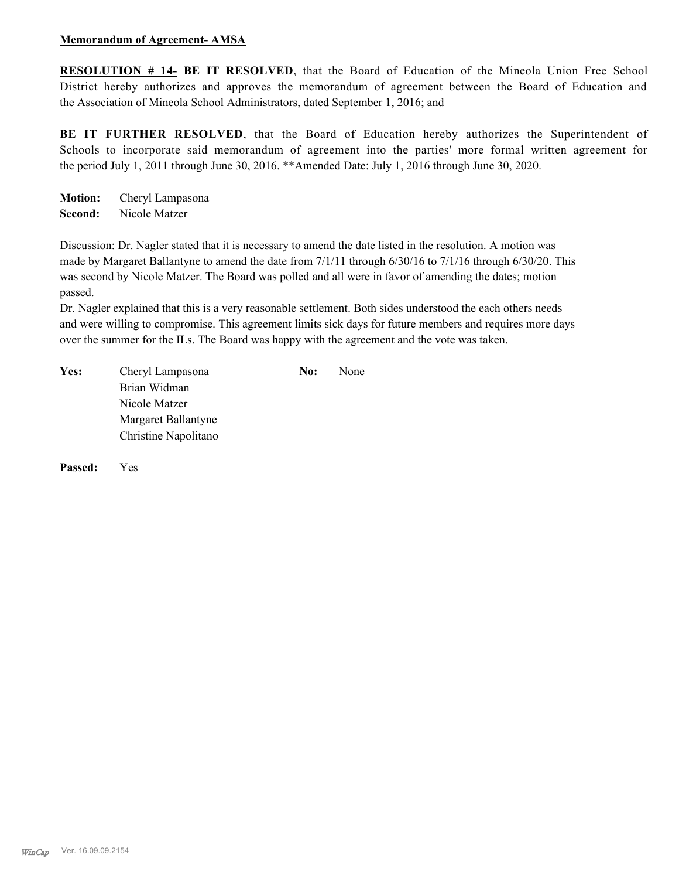#### **Memorandum of Agreement- AMSA**

**RESOLUTION # 14- BE IT RESOLVED**, that the Board of Education of the Mineola Union Free School District hereby authorizes and approves the memorandum of agreement between the Board of Education and the Association of Mineola School Administrators, dated September 1, 2016; and

BE IT FURTHER RESOLVED, that the Board of Education hereby authorizes the Superintendent of Schools to incorporate said memorandum of agreement into the parties' more formal written agreement for the period July 1, 2011 through June 30, 2016. \*\*Amended Date: July 1, 2016 through June 30, 2020.

**Motion:** Cheryl Lampasona **Second:** Nicole Matzer

Discussion: Dr. Nagler stated that it is necessary to amend the date listed in the resolution. A motion was made by Margaret Ballantyne to amend the date from 7/1/11 through 6/30/16 to 7/1/16 through 6/30/20. This was second by Nicole Matzer. The Board was polled and all were in favor of amending the dates; motion passed.

Dr. Nagler explained that this is a very reasonable settlement. Both sides understood the each others needs and were willing to compromise. This agreement limits sick days for future members and requires more days over the summer for the ILs. The Board was happy with the agreement and the vote was taken.

| Yes: | Cheryl Lampasona     | No: | None |
|------|----------------------|-----|------|
|      | Brian Widman         |     |      |
|      | Nicole Matzer        |     |      |
|      | Margaret Ballantyne  |     |      |
|      | Christine Napolitano |     |      |
|      |                      |     |      |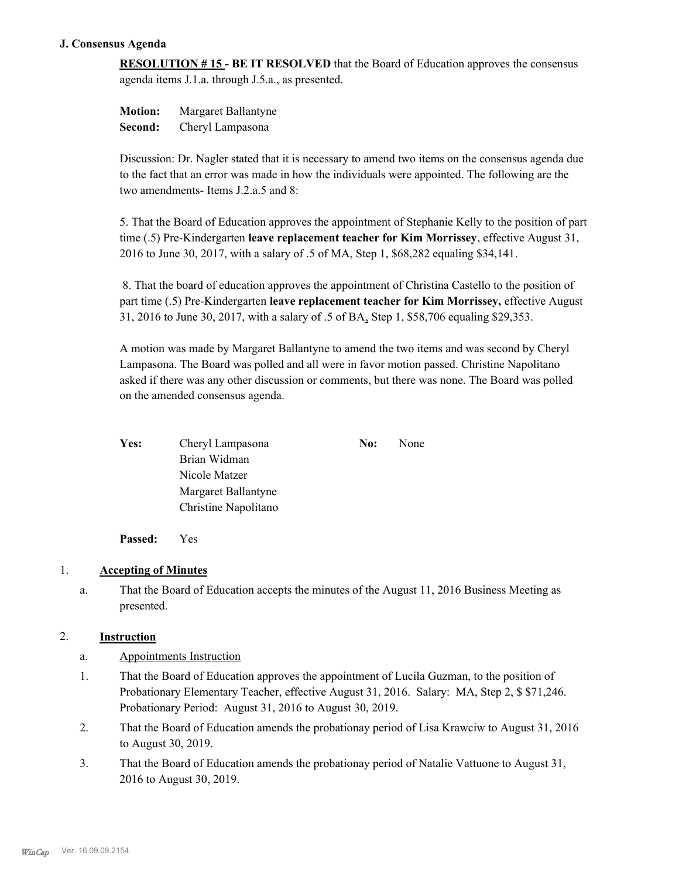### **J. Consensus Agenda**

**RESOLUTION # 15 - BE IT RESOLVED** that the Board of Education approves the consensus agenda items J.1.a. through J.5.a., as presented.

**Motion:** Margaret Ballantyne **Second:** Cheryl Lampasona

Discussion: Dr. Nagler stated that it is necessary to amend two items on the consensus agenda due to the fact that an error was made in how the individuals were appointed. The following are the two amendments- Items J.2.a.5 and 8:

5. That the Board of Education approves the appointment of Stephanie Kelly to the position of part time (.5) Pre-Kindergarten **leave replacement teacher for Kim Morrissey**, effective August 31, 2016 to June 30, 2017, with a salary of .5 of MA, Step 1, \$68,282 equaling \$34,141.

 8. That the board of education approves the appointment of Christina Castello to the position of part time (.5) Pre-Kindergarten **leave replacement teacher for Kim Morrissey,** effective August 31, 2016 to June 30, 2017, with a salary of .5 of BA, Step 1, \$58,706 equaling \$29,353.

A motion was made by Margaret Ballantyne to amend the two items and was second by Cheryl Lampasona. The Board was polled and all were in favor motion passed. Christine Napolitano asked if there was any other discussion or comments, but there was none. The Board was polled on the amended consensus agenda.

| Yes: | Cheryl Lampasona     | No: | None |
|------|----------------------|-----|------|
|      | Brian Widman         |     |      |
|      | Nicole Matzer        |     |      |
|      | Margaret Ballantyne  |     |      |
|      | Christine Napolitano |     |      |

**Passed:** Yes

# 1. **Accepting of Minutes**

That the Board of Education accepts the minutes of the August 11, 2016 Business Meeting as presented. a.

### 2. **Instruction**

- a. Appointments Instruction
- That the Board of Education approves the appointment of Lucila Guzman, to the position of Probationary Elementary Teacher, effective August 31, 2016. Salary: MA, Step 2, \$ \$71,246. Probationary Period: August 31, 2016 to August 30, 2019. 1.
- That the Board of Education amends the probationay period of Lisa Krawciw to August 31, 2016 to August 30, 2019. 2.
- That the Board of Education amends the probationay period of Natalie Vattuone to August 31, 2016 to August 30, 2019. 3.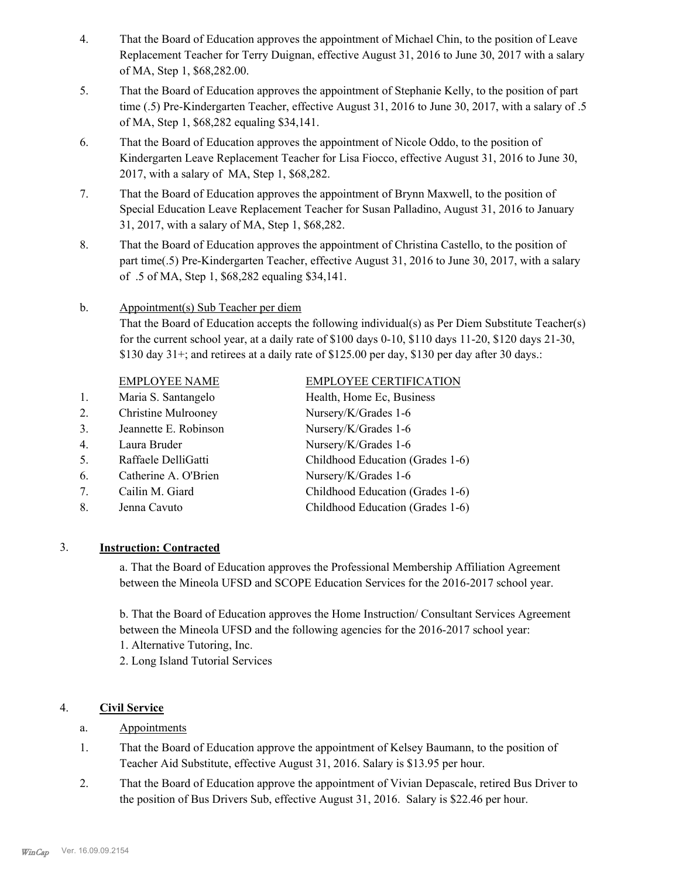- That the Board of Education approves the appointment of Michael Chin, to the position of Leave Replacement Teacher for Terry Duignan, effective August 31, 2016 to June 30, 2017 with a salary of MA, Step 1, \$68,282.00. 4.
- That the Board of Education approves the appointment of Stephanie Kelly, to the position of part time (.5) Pre-Kindergarten Teacher, effective August 31, 2016 to June 30, 2017, with a salary of .5 of MA, Step 1, \$68,282 equaling \$34,141. 5.
- That the Board of Education approves the appointment of Nicole Oddo, to the position of Kindergarten Leave Replacement Teacher for Lisa Fiocco, effective August 31, 2016 to June 30, 2017, with a salary of MA, Step 1, \$68,282. 6.
- That the Board of Education approves the appointment of Brynn Maxwell, to the position of Special Education Leave Replacement Teacher for Susan Palladino, August 31, 2016 to January 31, 2017, with a salary of MA, Step 1, \$68,282. 7.
- That the Board of Education approves the appointment of Christina Castello, to the position of part time(.5) Pre-Kindergarten Teacher, effective August 31, 2016 to June 30, 2017, with a salary of .5 of MA, Step 1, \$68,282 equaling \$34,141. 8.

#### Appointment(s) Sub Teacher per diem b.

That the Board of Education accepts the following individual(s) as Per Diem Substitute Teacher(s) for the current school year, at a daily rate of  $$100$  days  $0-10$ ,  $$110$  days  $11-20$ ,  $$120$  days  $21-30$ , \$130 day  $31+$ ; and retirees at a daily rate of \$125.00 per day, \$130 per day after 30 days.:

#### EMPLOYEE NAME EMPLOYEE CERTIFICATION

1. Maria S. Santangelo Health, Home Ec, Business 2. Christine Mulrooney Nursery/K/Grades 1-6 3. Jeannette E. Robinson Nursery/K/Grades 1-6 4. Laura Bruder Nursery/K/Grades 1-6 5. Raffaele DelliGatti Childhood Education (Grades 1-6) 6. Catherine A. O'Brien Nursery/K/Grades 1-6 7. Cailin M. Giard Childhood Education (Grades 1-6) 8. Jenna Cavuto Childhood Education (Grades 1-6)

# 3. **Instruction: Contracted**

a. That the Board of Education approves the Professional Membership Affiliation Agreement between the Mineola UFSD and SCOPE Education Services for the 2016-2017 school year.

b. That the Board of Education approves the Home Instruction/ Consultant Services Agreement between the Mineola UFSD and the following agencies for the 2016-2017 school year:

- 1. Alternative Tutoring, Inc.
- 2. Long Island Tutorial Services

# 4. **Civil Service**

- a. Appointments
- That the Board of Education approve the appointment of Kelsey Baumann, to the position of Teacher Aid Substitute, effective August 31, 2016. Salary is \$13.95 per hour. 1.
- That the Board of Education approve the appointment of Vivian Depascale, retired Bus Driver to the position of Bus Drivers Sub, effective August 31, 2016. Salary is \$22.46 per hour. 2.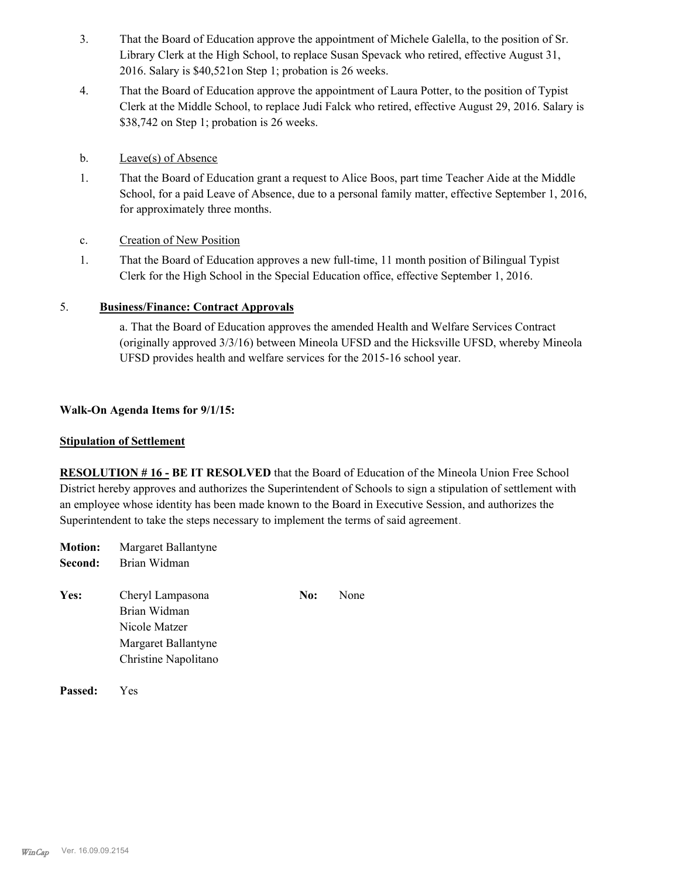- That the Board of Education approve the appointment of Michele Galella, to the position of Sr. Library Clerk at the High School, to replace Susan Spevack who retired, effective August 31, 2016. Salary is \$40,521on Step 1; probation is 26 weeks. 3.
- That the Board of Education approve the appointment of Laura Potter, to the position of Typist Clerk at the Middle School, to replace Judi Falck who retired, effective August 29, 2016. Salary is \$38,742 on Step 1; probation is 26 weeks. 4.
- b. Leave(s) of Absence
- That the Board of Education grant a request to Alice Boos, part time Teacher Aide at the Middle School, for a paid Leave of Absence, due to a personal family matter, effective September 1, 2016, for approximately three months. 1.
- c. Creation of New Position
- That the Board of Education approves a new full-time, 11 month position of Bilingual Typist Clerk for the High School in the Special Education office, effective September 1, 2016. 1.

# 5. **Business/Finance: Contract Approvals**

a. That the Board of Education approves the amended Health and Welfare Services Contract (originally approved 3/3/16) between Mineola UFSD and the Hicksville UFSD, whereby Mineola UFSD provides health and welfare services for the 2015-16 school year.

#### **Walk-On Agenda Items for 9/1/15:**

#### **Stipulation of Settlement**

**RESOLUTION # 16 - BE IT RESOLVED** that the Board of Education of the Mineola Union Free School District hereby approves and authorizes the Superintendent of Schools to sign a stipulation of settlement with an employee whose identity has been made known to the Board in Executive Session, and authorizes the Superintendent to take the steps necessary to implement the terms of said agreement.

| <b>Motion:</b> | Margaret Ballantyne                                                                              |     |      |
|----------------|--------------------------------------------------------------------------------------------------|-----|------|
| Second:        | Brian Widman                                                                                     |     |      |
| Yes:           | Cheryl Lampasona<br>Brian Widman<br>Nicole Matzer<br>Margaret Ballantyne<br>Christine Napolitano | No: | None |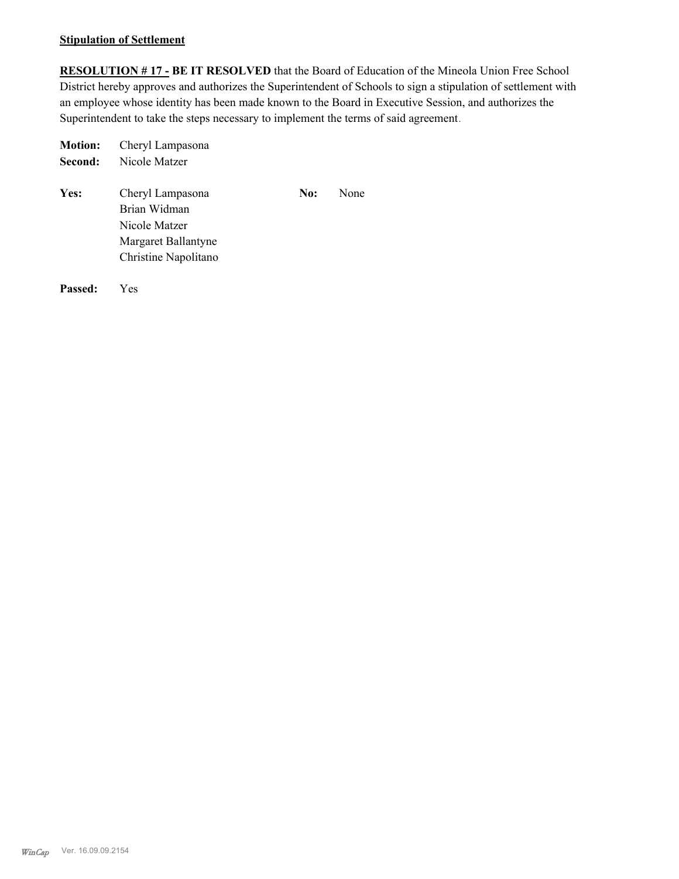#### **Stipulation of Settlement**

**RESOLUTION # 17 - BE IT RESOLVED** that the Board of Education of the Mineola Union Free School District hereby approves and authorizes the Superintendent of Schools to sign a stipulation of settlement with an employee whose identity has been made known to the Board in Executive Session, and authorizes the Superintendent to take the steps necessary to implement the terms of said agreement.

| <b>Motion:</b> | Cheryl Lampasona                                                         |     |      |
|----------------|--------------------------------------------------------------------------|-----|------|
| Second:        | Nicole Matzer                                                            |     |      |
| <b>Yes:</b>    | Cheryl Lampasona<br>Brian Widman<br>Nicole Matzer<br>Margaret Ballantyne | No: | None |
|                | Christine Napolitano                                                     |     |      |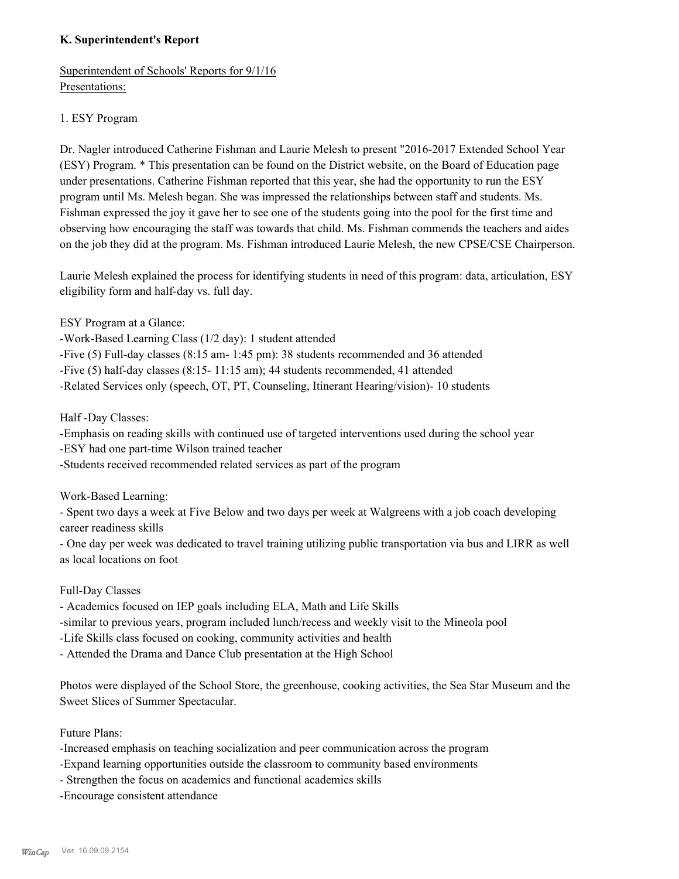## **K. Superintendent's Report**

Superintendent of Schools' Reports for 9/1/16 Presentations:

## 1. ESY Program

Dr. Nagler introduced Catherine Fishman and Laurie Melesh to present "2016-2017 Extended School Year (ESY) Program. \* This presentation can be found on the District website, on the Board of Education page under presentations. Catherine Fishman reported that this year, she had the opportunity to run the ESY program until Ms. Melesh began. She was impressed the relationships between staff and students. Ms. Fishman expressed the joy it gave her to see one of the students going into the pool for the first time and observing how encouraging the staff was towards that child. Ms. Fishman commends the teachers and aides on the job they did at the program. Ms. Fishman introduced Laurie Melesh, the new CPSE/CSE Chairperson.

Laurie Melesh explained the process for identifying students in need of this program: data, articulation, ESY eligibility form and half-day vs. full day.

ESY Program at a Glance:

-Work-Based Learning Class (1/2 day): 1 student attended

-Five (5) Full-day classes (8:15 am- 1:45 pm): 38 students recommended and 36 attended

-Five (5) half-day classes (8:15- 11:15 am); 44 students recommended, 41 attended

-Related Services only (speech, OT, PT, Counseling, Itinerant Hearing/vision)- 10 students

Half -Day Classes:

-Emphasis on reading skills with continued use of targeted interventions used during the school year

-ESY had one part-time Wilson trained teacher

-Students received recommended related services as part of the program

Work-Based Learning:

- Spent two days a week at Five Below and two days per week at Walgreens with a job coach developing career readiness skills

- One day per week was dedicated to travel training utilizing public transportation via bus and LIRR as well as local locations on foot

Full-Day Classes

- Academics focused on IEP goals including ELA, Math and Life Skills

-similar to previous years, program included lunch/recess and weekly visit to the Mineola pool

-Life Skills class focused on cooking, community activities and health

- Attended the Drama and Dance Club presentation at the High School

Photos were displayed of the School Store, the greenhouse, cooking activities, the Sea Star Museum and the Sweet Slices of Summer Spectacular.

Future Plans:

-Increased emphasis on teaching socialization and peer communication across the program

-Expand learning opportunities outside the classroom to community based environments

- Strengthen the focus on academics and functional academics skills

-Encourage consistent attendance